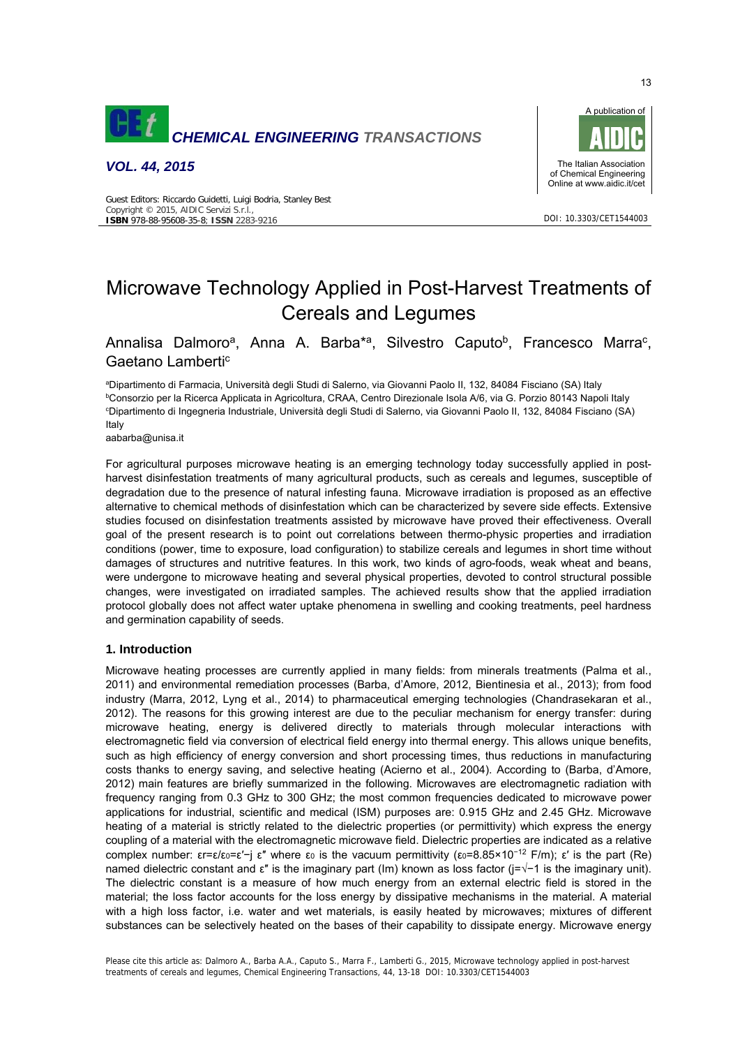

*VOL. 44, 2015*



DOI: 10.3303/CET1544003

#### Guest Editors: Riccardo Guidetti, Luigi Bodria, Stanley Best Copyright © 2015, AIDIC Servizi S.r.l., **ISBN** 978-88-95608-35-8; **ISSN** 2283-9216

# Microwave Technology Applied in Post-Harvest Treatments of Cereals and Legumes

Annalisa Dalmoro<sup>a</sup>, Anna A. Barba<sup>\*a</sup>, Silvestro Caputo<sup>b</sup>, Francesco Marra<sup>c</sup>, Gaetano Lamberti<sup>c</sup>

<sup>a</sup>Dipartimento di Farmacia, Università degli Studi di Salerno, via Giovanni Paolo II, 132, 84084 Fisciano (SA) Italy<br>PConserzio per la Bicerca Applicata in Agricoltura, CRAA, Centro Direzionale Isola A/6, via G. Porzio 80 <sup>b</sup>Consorzio per la Ricerca Applicata in Agricoltura, CRAA, Centro Direzionale Isola A/6, via G. Porzio 80143 Napoli Italy Dipartimento di Ingegneria Industriale, Università degli Studi di Salerno, via Giovanni Paolo II, 132, 84084 Fisciano (SA) Italy

aabarba@unisa.it

For agricultural purposes microwave heating is an emerging technology today successfully applied in postharvest disinfestation treatments of many agricultural products, such as cereals and legumes, susceptible of degradation due to the presence of natural infesting fauna. Microwave irradiation is proposed as an effective alternative to chemical methods of disinfestation which can be characterized by severe side effects. Extensive studies focused on disinfestation treatments assisted by microwave have proved their effectiveness. Overall goal of the present research is to point out correlations between thermo-physic properties and irradiation conditions (power, time to exposure, load configuration) to stabilize cereals and legumes in short time without damages of structures and nutritive features. In this work, two kinds of agro-foods, weak wheat and beans, were undergone to microwave heating and several physical properties, devoted to control structural possible changes, were investigated on irradiated samples. The achieved results show that the applied irradiation protocol globally does not affect water uptake phenomena in swelling and cooking treatments, peel hardness and germination capability of seeds.

## **1. Introduction**

Microwave heating processes are currently applied in many fields: from minerals treatments (Palma et al., 2011) and environmental remediation processes (Barba, d'Amore, 2012, Bientinesia et al., 2013); from food industry (Marra, 2012, Lyng et al., 2014) to pharmaceutical emerging technologies (Chandrasekaran et al., 2012). The reasons for this growing interest are due to the peculiar mechanism for energy transfer: during microwave heating, energy is delivered directly to materials through molecular interactions with electromagnetic field via conversion of electrical field energy into thermal energy. This allows unique benefits, such as high efficiency of energy conversion and short processing times, thus reductions in manufacturing costs thanks to energy saving, and selective heating (Acierno et al., 2004). According to (Barba, d'Amore, 2012) main features are briefly summarized in the following. Microwaves are electromagnetic radiation with frequency ranging from 0.3 GHz to 300 GHz; the most common frequencies dedicated to microwave power applications for industrial, scientific and medical (ISM) purposes are: 0.915 GHz and 2.45 GHz. Microwave heating of a material is strictly related to the dielectric properties (or permittivity) which express the energy coupling of a material with the electromagnetic microwave field. Dielectric properties are indicated as a relative complex number:  $\epsilon r = \epsilon/\epsilon_0 = \epsilon' - j \epsilon''$  where  $\epsilon_0$  is the vacuum permittivity ( $\epsilon_0 = 8.85 \times 10^{-12}$  F/m);  $\epsilon'$  is the part (Re) named dielectric constant and ε" is the imaginary part (Im) known as loss factor (j=√−1 is the imaginary unit). The dielectric constant is a measure of how much energy from an external electric field is stored in the material; the loss factor accounts for the loss energy by dissipative mechanisms in the material. A material with a high loss factor, i.e. water and wet materials, is easily heated by microwaves; mixtures of different substances can be selectively heated on the bases of their capability to dissipate energy. Microwave energy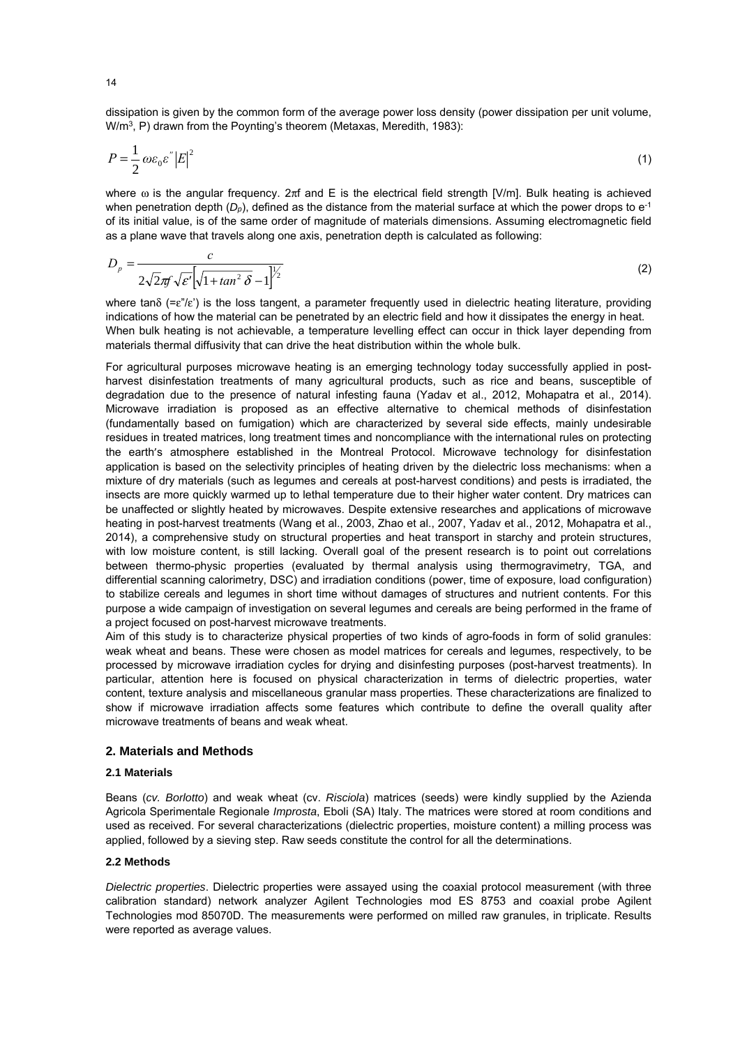dissipation is given by the common form of the average power loss density (power dissipation per unit volume, W/m<sup>3</sup>, P) drawn from the Poynting's theorem (Metaxas, Meredith, 1983):

$$
P = \frac{1}{2} \omega \varepsilon_0 \varepsilon'' |E|^2 \tag{1}
$$

where  $\omega$  is the angular frequency. 2πf and E is the electrical field strength [V/m]. Bulk heating is achieved when penetration depth  $(D_p)$ , defined as the distance from the material surface at which the power drops to  $e^{-1}$ of its initial value, is of the same order of magnitude of materials dimensions. Assuming electromagnetic field as a plane wave that travels along one axis, penetration depth is calculated as following:

$$
D_p = \frac{c}{2\sqrt{2}\pi\sqrt{\varepsilon'}\left[\sqrt{1 + \tan^2\delta} - 1\right]^{1/2}}
$$
\n(2)

where tan $\delta$  (= $\varepsilon$ "/ $\varepsilon$ ") is the loss tangent, a parameter frequently used in dielectric heating literature, providing indications of how the material can be penetrated by an electric field and how it dissipates the energy in heat. When bulk heating is not achievable, a temperature levelling effect can occur in thick layer depending from materials thermal diffusivity that can drive the heat distribution within the whole bulk.

For agricultural purposes microwave heating is an emerging technology today successfully applied in postharvest disinfestation treatments of many agricultural products, such as rice and beans, susceptible of degradation due to the presence of natural infesting fauna (Yadav et al., 2012, Mohapatra et al., 2014). Microwave irradiation is proposed as an effective alternative to chemical methods of disinfestation (fundamentally based on fumigation) which are characterized by several side effects, mainly undesirable residues in treated matrices, long treatment times and noncompliance with the international rules on protecting the earth's atmosphere established in the Montreal Protocol. Microwave technology for disinfestation application is based on the selectivity principles of heating driven by the dielectric loss mechanisms: when a mixture of dry materials (such as legumes and cereals at post-harvest conditions) and pests is irradiated, the insects are more quickly warmed up to lethal temperature due to their higher water content. Dry matrices can be unaffected or slightly heated by microwaves. Despite extensive researches and applications of microwave heating in post-harvest treatments (Wang et al., 2003, Zhao et al., 2007, Yadav et al., 2012, Mohapatra et al., 2014), a comprehensive study on structural properties and heat transport in starchy and protein structures, with low moisture content, is still lacking. Overall goal of the present research is to point out correlations between thermo-physic properties (evaluated by thermal analysis using thermogravimetry, TGA, and differential scanning calorimetry, DSC) and irradiation conditions (power, time of exposure, load configuration) to stabilize cereals and legumes in short time without damages of structures and nutrient contents. For this purpose a wide campaign of investigation on several legumes and cereals are being performed in the frame of a project focused on post-harvest microwave treatments.

Aim of this study is to characterize physical properties of two kinds of agro-foods in form of solid granules: weak wheat and beans. These were chosen as model matrices for cereals and legumes, respectively, to be processed by microwave irradiation cycles for drying and disinfesting purposes (post-harvest treatments). In particular, attention here is focused on physical characterization in terms of dielectric properties, water content, texture analysis and miscellaneous granular mass properties. These characterizations are finalized to show if microwave irradiation affects some features which contribute to define the overall quality after microwave treatments of beans and weak wheat.

## **2. Materials and Methods**

## **2.1 Materials**

Beans (*cv. Borlotto*) and weak wheat (cv. *Risciola*) matrices (seeds) were kindly supplied by the Azienda Agricola Sperimentale Regionale *Improsta*, Eboli (SA) Italy. The matrices were stored at room conditions and used as received. For several characterizations (dielectric properties, moisture content) a milling process was applied, followed by a sieving step. Raw seeds constitute the control for all the determinations.

#### **2.2 Methods**

*Dielectric properties*. Dielectric properties were assayed using the coaxial protocol measurement (with three calibration standard) network analyzer Agilent Technologies mod ES 8753 and coaxial probe Agilent Technologies mod 85070D. The measurements were performed on milled raw granules, in triplicate. Results were reported as average values.

14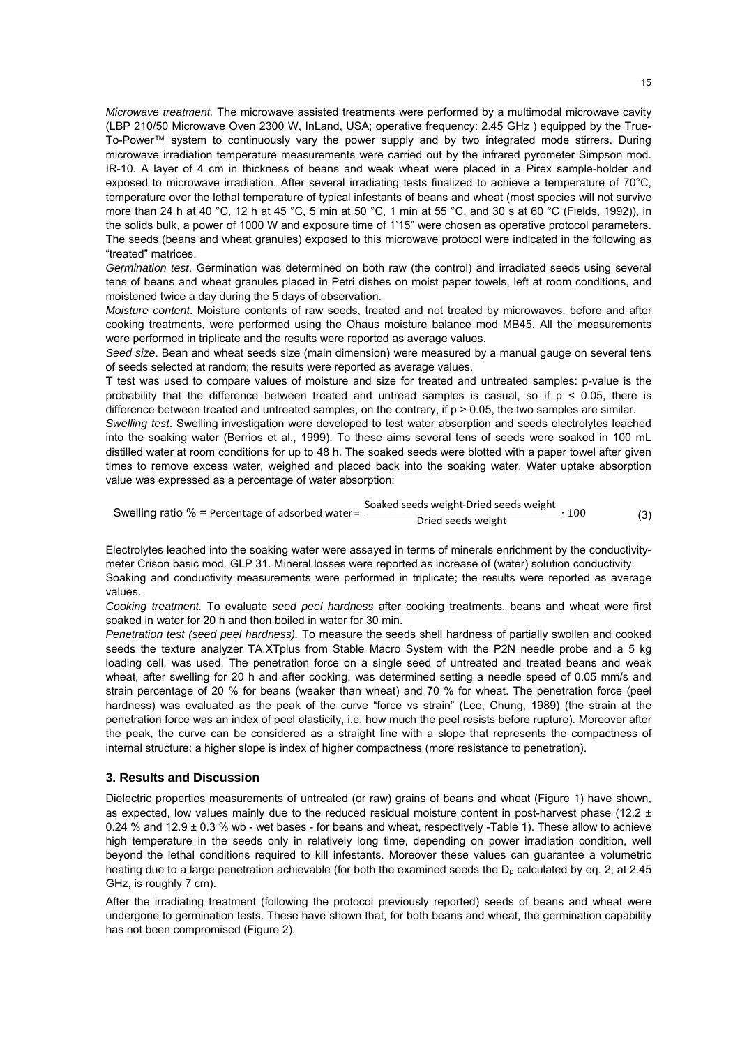*Microwave treatment.* The microwave assisted treatments were performed by a multimodal microwave cavity (LBP 210/50 Microwave Oven 2300 W, InLand, USA; operative frequency: 2.45 GHz ) equipped by the True-To-Power™ system to continuously vary the power supply and by two integrated mode stirrers. During microwave irradiation temperature measurements were carried out by the infrared pyrometer Simpson mod. IR-10. A layer of 4 cm in thickness of beans and weak wheat were placed in a Pirex sample-holder and exposed to microwave irradiation. After several irradiating tests finalized to achieve a temperature of 70°C, temperature over the lethal temperature of typical infestants of beans and wheat (most species will not survive more than 24 h at 40 °C, 12 h at 45 °C, 5 min at 50 °C, 1 min at 55 °C, and 30 s at 60 °C (Fields, 1992)), in the solids bulk, a power of 1000 W and exposure time of 1'15" were chosen as operative protocol parameters. The seeds (beans and wheat granules) exposed to this microwave protocol were indicated in the following as "treated" matrices.

*Germination test*. Germination was determined on both raw (the control) and irradiated seeds using several tens of beans and wheat granules placed in Petri dishes on moist paper towels, left at room conditions, and moistened twice a day during the 5 days of observation.

*Moisture content*. Moisture contents of raw seeds, treated and not treated by microwaves, before and after cooking treatments, were performed using the Ohaus moisture balance mod MB45. All the measurements were performed in triplicate and the results were reported as average values.

*Seed size*. Bean and wheat seeds size (main dimension) were measured by a manual gauge on several tens of seeds selected at random; the results were reported as average values.

T test was used to compare values of moisture and size for treated and untreated samples: p-value is the probability that the difference between treated and untread samples is casual, so if  $p \le 0.05$ , there is difference between treated and untreated samples, on the contrary, if p > 0.05, the two samples are similar.

*Swelling test*. Swelling investigation were developed to test water absorption and seeds electrolytes leached into the soaking water (Berrios et al., 1999). To these aims several tens of seeds were soaked in 100 mL distilled water at room conditions for up to 48 h. The soaked seeds were blotted with a paper towel after given times to remove excess water, weighed and placed back into the soaking water. Water uptake absorption value was expressed as a percentage of water absorption:

(3) Swelling ratio % = Percentage of adsorbed water =  $\frac{\text{Soaked seeds weight-Dried seeds weight}}{\text{Dried seeds weight}} \cdot 100$ 

Electrolytes leached into the soaking water were assayed in terms of minerals enrichment by the conductivitymeter Crison basic mod. GLP 31. Mineral losses were reported as increase of (water) solution conductivity. Soaking and conductivity measurements were performed in triplicate; the results were reported as average values.

*Cooking treatment.* To evaluate *seed peel hardness* after cooking treatments, beans and wheat were first soaked in water for 20 h and then boiled in water for 30 min.

*Penetration test (seed peel hardness).* To measure the seeds shell hardness of partially swollen and cooked seeds the texture analyzer TA.XTplus from Stable Macro System with the P2N needle probe and a 5 kg loading cell, was used. The penetration force on a single seed of untreated and treated beans and weak wheat, after swelling for 20 h and after cooking, was determined setting a needle speed of 0.05 mm/s and strain percentage of 20 % for beans (weaker than wheat) and 70 % for wheat. The penetration force (peel hardness) was evaluated as the peak of the curve "force vs strain" (Lee, Chung, 1989) (the strain at the penetration force was an index of peel elasticity, i.e. how much the peel resists before rupture). Moreover after the peak, the curve can be considered as a straight line with a slope that represents the compactness of internal structure: a higher slope is index of higher compactness (more resistance to penetration).

#### **3. Results and Discussion**

Dielectric properties measurements of untreated (or raw) grains of beans and wheat (Figure 1) have shown, as expected, low values mainly due to the reduced residual moisture content in post-harvest phase (12.2  $\pm$ 0.24 % and 12.9 ± 0.3 % wb - wet bases - for beans and wheat, respectively -Table 1). These allow to achieve high temperature in the seeds only in relatively long time, depending on power irradiation condition, well beyond the lethal conditions required to kill infestants. Moreover these values can guarantee a volumetric heating due to a large penetration achievable (for both the examined seeds the  $D<sub>p</sub>$  calculated by eq. 2, at 2.45 GHz, is roughly 7 cm).

After the irradiating treatment (following the protocol previously reported) seeds of beans and wheat were undergone to germination tests. These have shown that, for both beans and wheat, the germination capability has not been compromised (Figure 2).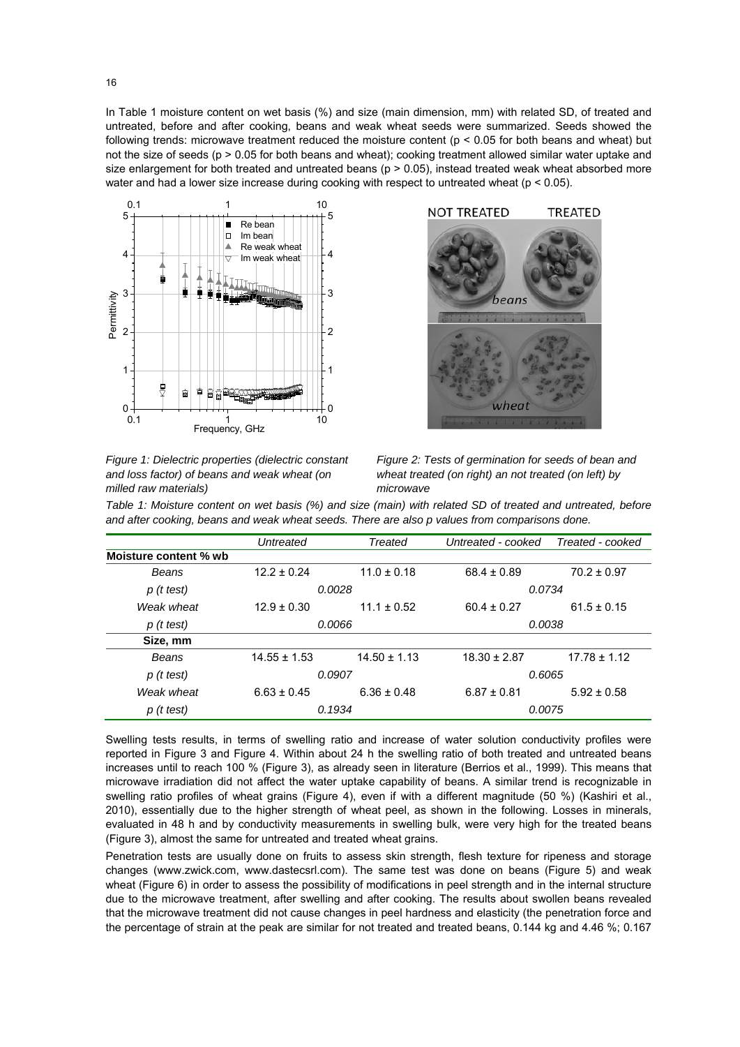In Table 1 moisture content on wet basis (%) and size (main dimension, mm) with related SD, of treated and untreated, before and after cooking, beans and weak wheat seeds were summarized. Seeds showed the following trends: microwave treatment reduced the moisture content ( $p < 0.05$  for both beans and wheat) but not the size of seeds (p > 0.05 for both beans and wheat); cooking treatment allowed similar water uptake and size enlargement for both treated and untreated beans ( $p > 0.05$ ), instead treated weak wheat absorbed more water and had a lower size increase during cooking with respect to untreated wheat ( $p < 0.05$ ).



*Figure 1: Dielectric properties (dielectric constant and loss factor) of beans and weak wheat (on milled raw materials)* 



*Figure 2: Tests of germination for seeds of bean and wheat treated (on right) an not treated (on left) by microwave* 

*Table 1: Moisture content on wet basis (%) and size (main) with related SD of treated and untreated, before and after cooking, beans and weak wheat seeds. There are also p values from comparisons done.* 

|                       | Untreated        | Treated<br>Untreated - cooked |                  | Treated - cooked |  |
|-----------------------|------------------|-------------------------------|------------------|------------------|--|
| Moisture content % wb |                  |                               |                  |                  |  |
| Beans                 | $12.2 \pm 0.24$  | $11.0 \pm 0.18$               | $68.4 \pm 0.89$  | $70.2 \pm 0.97$  |  |
| $p$ (t test)          | 0.0028           |                               | 0.0734           |                  |  |
| Weak wheat            | $12.9 \pm 0.30$  | $11.1 \pm 0.52$               | $60.4 \pm 0.27$  | $61.5 \pm 0.15$  |  |
| $p$ (t test)          |                  | 0.0066                        | 0.0038           |                  |  |
| Size, mm              |                  |                               |                  |                  |  |
| Beans                 | $14.55 \pm 1.53$ | $14.50 \pm 1.13$              | $18.30 \pm 2.87$ | $17.78 \pm 1.12$ |  |
| $p$ (t test)          | 0.0907           |                               | 0.6065           |                  |  |
| Weak wheat            | $6.63 \pm 0.45$  | $6.36 \pm 0.48$               | $6.87 \pm 0.81$  | $5.92 \pm 0.58$  |  |
| $p$ (t test)          | 0.1934           |                               | 0.0075           |                  |  |

Swelling tests results, in terms of swelling ratio and increase of water solution conductivity profiles were reported in Figure 3 and Figure 4. Within about 24 h the swelling ratio of both treated and untreated beans increases until to reach 100 % (Figure 3), as already seen in literature (Berrios et al., 1999). This means that microwave irradiation did not affect the water uptake capability of beans. A similar trend is recognizable in swelling ratio profiles of wheat grains (Figure 4), even if with a different magnitude (50 %) (Kashiri et al., 2010), essentially due to the higher strength of wheat peel, as shown in the following. Losses in minerals, evaluated in 48 h and by conductivity measurements in swelling bulk, were very high for the treated beans (Figure 3), almost the same for untreated and treated wheat grains.

Penetration tests are usually done on fruits to assess skin strength, flesh texture for ripeness and storage changes (www.zwick.com, www.dastecsrl.com). The same test was done on beans (Figure 5) and weak wheat (Figure 6) in order to assess the possibility of modifications in peel strength and in the internal structure due to the microwave treatment, after swelling and after cooking. The results about swollen beans revealed that the microwave treatment did not cause changes in peel hardness and elasticity (the penetration force and the percentage of strain at the peak are similar for not treated and treated beans, 0.144 kg and 4.46 %; 0.167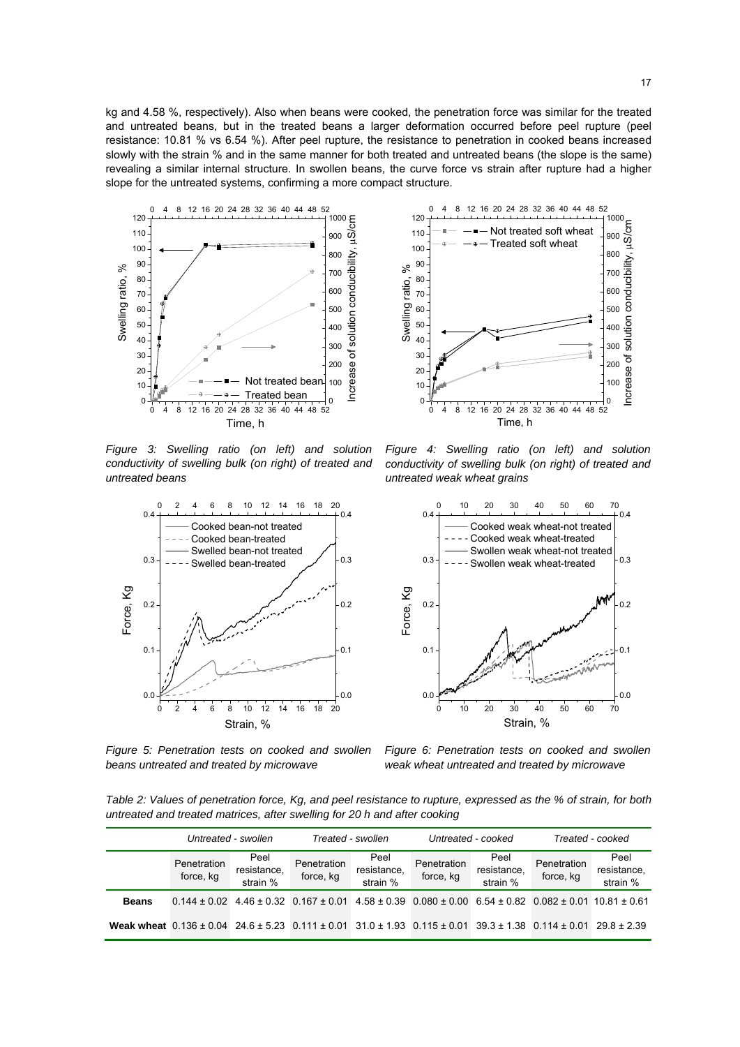kg and 4.58 %, respectively). Also when beans were cooked, the penetration force was similar for the treated and untreated beans, but in the treated beans a larger deformation occurred before peel rupture (peel resistance: 10.81 % vs 6.54 %). After peel rupture, the resistance to penetration in cooked beans increased slowly with the strain % and in the same manner for both treated and untreated beans (the slope is the same) revealing a similar internal structure. In swollen beans, the curve force vs strain after rupture had a higher slope for the untreated systems, confirming a more compact structure.



*Figure 3: Swelling ratio (on left) and solution conductivity of swelling bulk (on right) of treated and untreated beans* 



*Figure 5: Penetration tests on cooked and swollen beans untreated and treated by microwave*



*Figure 4: Swelling ratio (on left) and solution conductivity of swelling bulk (on right) of treated and untreated weak wheat grains*



*Figure 6: Penetration tests on cooked and swollen weak wheat untreated and treated by microwave*

*Table 2: Values of penetration force, Kg, and peel resistance to rupture, expressed as the % of strain, for both untreated and treated matrices, after swelling for 20 h and after cooking* 

|                                                                                                                                                | Untreated - swollen      |                                 | Treated - swollen                                                                                                                    |                                 | Untreated - cooked       |                                 | Treated - cooked         |                                 |
|------------------------------------------------------------------------------------------------------------------------------------------------|--------------------------|---------------------------------|--------------------------------------------------------------------------------------------------------------------------------------|---------------------------------|--------------------------|---------------------------------|--------------------------|---------------------------------|
|                                                                                                                                                | Penetration<br>force, kg | Peel<br>resistance,<br>strain % | Penetration<br>force, kg                                                                                                             | Peel<br>resistance,<br>strain % | Penetration<br>force, kg | Peel<br>resistance,<br>strain % | Penetration<br>force, kg | Peel<br>resistance,<br>strain % |
| <b>Beans</b>                                                                                                                                   |                          |                                 | $0.144 \pm 0.02$ 4.46 $\pm$ 0.32 0.167 $\pm$ 0.01 4.58 $\pm$ 0.39 0.080 $\pm$ 0.00 6.54 $\pm$ 0.82 0.082 $\pm$ 0.01 10.81 $\pm$ 0.61 |                                 |                          |                                 |                          |                                 |
| Weak wheat $0.136 \pm 0.04$ 24.6 $\pm$ 5.23 0.111 $\pm$ 0.01 31.0 $\pm$ 1.93 0.115 $\pm$ 0.01 39.3 $\pm$ 1.38 0.114 $\pm$ 0.01 29.8 $\pm$ 2.39 |                          |                                 |                                                                                                                                      |                                 |                          |                                 |                          |                                 |